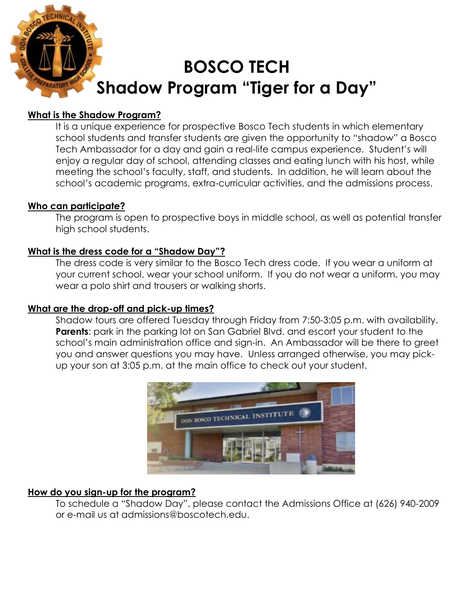

## **What is the Shadow Program?**

It is a unique experience for prospective Bosco Tech students in which elementary school students and transfer students are given the opportunity to "shadow" a Bosco Tech Ambassador for a day and gain a real-life campus experience. Student's will enjoy a regular day of school, attending classes and eating lunch with his host, while meeting the school's faculty, staff, and students. In addition, he will learn about the school's academic programs, extra-curricular activities, and the admissions process.

### **Who can participate?**

The program is open to prospective boys in middle school, as well as potential transfer high school students.

### **What is the dress code for a "Shadow Day"?**

The dress code is very similar to the Bosco Tech dress code. If you wear a uniform at your current school, wear your school uniform. If you do not wear a uniform, you may wear a polo shirt and trousers or walking shorts.

# **What are the drop-off and pick-up times?**

Shadow tours are offered Tuesday through Friday from 7:50-3:05 p.m. with availability. **Parents**: park in the parking lot on San Gabriel Blvd. and escort your student to the school's main administration office and sign-in. An Ambassador will be there to greet you and answer questions you may have. Unless arranged otherwise, you may pickup your son at 3:05 p.m. at the main office to check out your student.



# **How do you sign-up for the program?**

To schedule a "Shadow Day", please contact the Admissions Office at (626) 940-2009 or e-mail us at admissions@boscotech.edu.